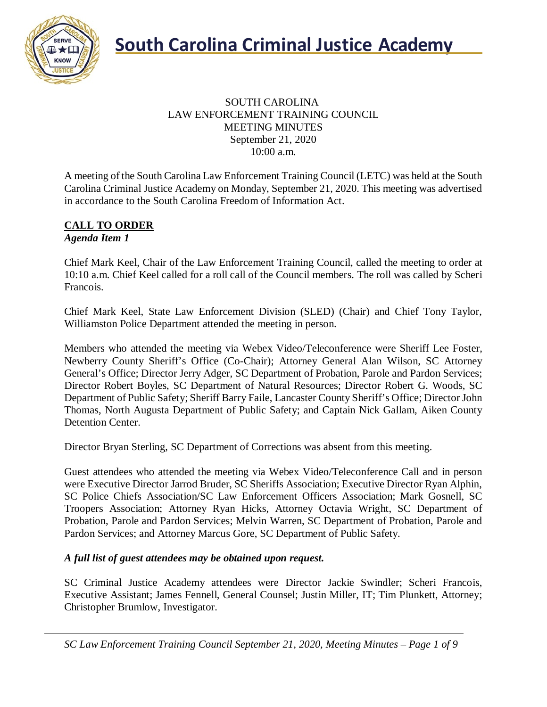

#### SOUTH CAROLINA LAW ENFORCEMENT TRAINING COUNCIL MEETING MINUTES September 21, 2020 10:00 a.m.

A meeting of the South Carolina Law Enforcement Training Council (LETC) was held at the South Carolina Criminal Justice Academy on Monday, September 21, 2020. This meeting was advertised in accordance to the South Carolina Freedom of Information Act.

#### **CALL TO ORDER** *Agenda Item 1*

Chief Mark Keel, Chair of the Law Enforcement Training Council, called the meeting to order at 10:10 a.m. Chief Keel called for a roll call of the Council members. The roll was called by Scheri Francois.

Chief Mark Keel, State Law Enforcement Division (SLED) (Chair) and Chief Tony Taylor, Williamston Police Department attended the meeting in person.

Members who attended the meeting via Webex Video/Teleconference were Sheriff Lee Foster, Newberry County Sheriff's Office (Co-Chair); Attorney General Alan Wilson, SC Attorney General's Office; Director Jerry Adger, SC Department of Probation, Parole and Pardon Services; Director Robert Boyles, SC Department of Natural Resources; Director Robert G. Woods, SC Department of Public Safety; Sheriff Barry Faile, Lancaster County Sheriff's Office; Director John Thomas, North Augusta Department of Public Safety; and Captain Nick Gallam, Aiken County Detention Center.

Director Bryan Sterling, SC Department of Corrections was absent from this meeting.

Guest attendees who attended the meeting via Webex Video/Teleconference Call and in person were Executive Director Jarrod Bruder, SC Sheriffs Association; Executive Director Ryan Alphin, SC Police Chiefs Association/SC Law Enforcement Officers Association; Mark Gosnell, SC Troopers Association; Attorney Ryan Hicks, Attorney Octavia Wright, SC Department of Probation, Parole and Pardon Services; Melvin Warren, SC Department of Probation, Parole and Pardon Services; and Attorney Marcus Gore, SC Department of Public Safety.

#### *A full list of guest attendees may be obtained upon request.*

SC Criminal Justice Academy attendees were Director Jackie Swindler; Scheri Francois, Executive Assistant; James Fennell, General Counsel; Justin Miller, IT; Tim Plunkett, Attorney; Christopher Brumlow, Investigator.

*SC Law Enforcement Training Council September 21, 2020, Meeting Minutes – Page 1 of 9*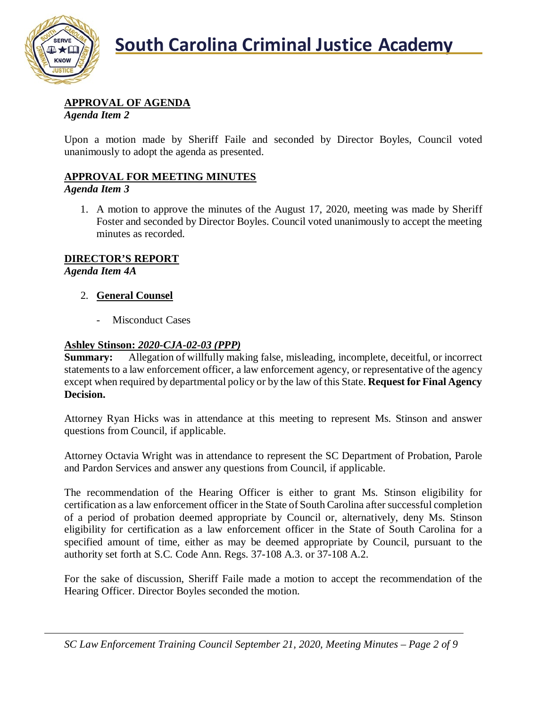

### **APPROVAL OF AGENDA**

*Agenda Item 2*

Upon a motion made by Sheriff Faile and seconded by Director Boyles, Council voted unanimously to adopt the agenda as presented.

### **APPROVAL FOR MEETING MINUTES**

*Agenda Item 3*

1. A motion to approve the minutes of the August 17, 2020, meeting was made by Sheriff Foster and seconded by Director Boyles. Council voted unanimously to accept the meeting minutes as recorded.

#### **DIRECTOR'S REPORT**

*Agenda Item 4A*

#### 2. **General Counsel**

- Misconduct Cases

#### **Ashley Stinson:** *2020-CJA-02-03 (PPP)*

**Summary:** Allegation of willfully making false, misleading, incomplete, deceitful, or incorrect statements to a law enforcement officer, a law enforcement agency, or representative of the agency except when required by departmental policy or by the law of this State. **Request for Final Agency Decision.**

Attorney Ryan Hicks was in attendance at this meeting to represent Ms. Stinson and answer questions from Council, if applicable.

Attorney Octavia Wright was in attendance to represent the SC Department of Probation, Parole and Pardon Services and answer any questions from Council, if applicable.

The recommendation of the Hearing Officer is either to grant Ms. Stinson eligibility for certification as a law enforcement officer in the State of South Carolina after successful completion of a period of probation deemed appropriate by Council or, alternatively, deny Ms. Stinson eligibility for certification as a law enforcement officer in the State of South Carolina for a specified amount of time, either as may be deemed appropriate by Council, pursuant to the authority set forth at S.C. Code Ann. Regs. 37-108 A.3. or 37-108 A.2.

For the sake of discussion, Sheriff Faile made a motion to accept the recommendation of the Hearing Officer. Director Boyles seconded the motion.

*SC Law Enforcement Training Council September 21, 2020, Meeting Minutes – Page 2 of 9*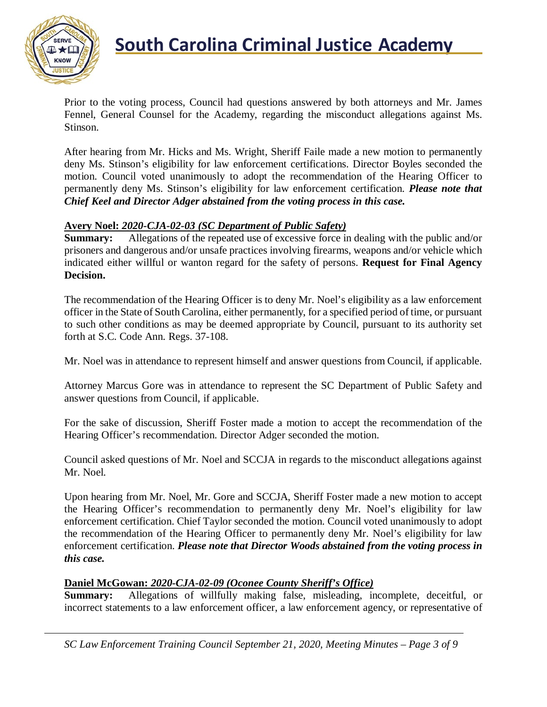

Prior to the voting process, Council had questions answered by both attorneys and Mr. James Fennel, General Counsel for the Academy, regarding the misconduct allegations against Ms. Stinson.

After hearing from Mr. Hicks and Ms. Wright, Sheriff Faile made a new motion to permanently deny Ms. Stinson's eligibility for law enforcement certifications. Director Boyles seconded the motion. Council voted unanimously to adopt the recommendation of the Hearing Officer to permanently deny Ms. Stinson's eligibility for law enforcement certification. *Please note that Chief Keel and Director Adger abstained from the voting process in this case.*

#### **Avery Noel:** *2020-CJA-02-03 (SC Department of Public Safety)*

**Summary:** Allegations of the repeated use of excessive force in dealing with the public and/or prisoners and dangerous and/or unsafe practices involving firearms, weapons and/or vehicle which indicated either willful or wanton regard for the safety of persons. **Request for Final Agency Decision.**

The recommendation of the Hearing Officer is to deny Mr. Noel's eligibility as a law enforcement officer in the State of South Carolina, either permanently, for a specified period of time, or pursuant to such other conditions as may be deemed appropriate by Council, pursuant to its authority set forth at S.C. Code Ann. Regs. 37-108.

Mr. Noel was in attendance to represent himself and answer questions from Council, if applicable.

Attorney Marcus Gore was in attendance to represent the SC Department of Public Safety and answer questions from Council, if applicable.

For the sake of discussion, Sheriff Foster made a motion to accept the recommendation of the Hearing Officer's recommendation. Director Adger seconded the motion.

Council asked questions of Mr. Noel and SCCJA in regards to the misconduct allegations against Mr. Noel.

Upon hearing from Mr. Noel, Mr. Gore and SCCJA, Sheriff Foster made a new motion to accept the Hearing Officer's recommendation to permanently deny Mr. Noel's eligibility for law enforcement certification. Chief Taylor seconded the motion. Council voted unanimously to adopt the recommendation of the Hearing Officer to permanently deny Mr. Noel's eligibility for law enforcement certification. *Please note that Director Woods abstained from the voting process in this case.*

#### **Daniel McGowan:** *2020-CJA-02-09 (Oconee County Sheriff's Office)*

**Summary:** Allegations of willfully making false, misleading, incomplete, deceitful, or incorrect statements to a law enforcement officer, a law enforcement agency, or representative of

*SC Law Enforcement Training Council September 21, 2020, Meeting Minutes – Page 3 of 9*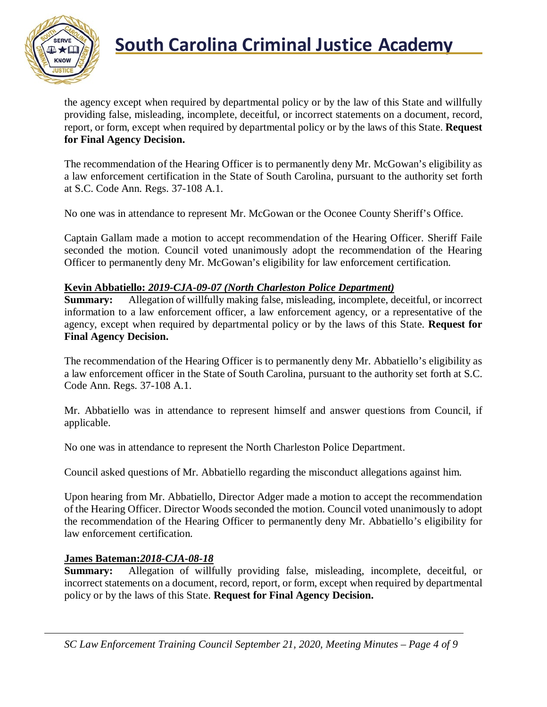

the agency except when required by departmental policy or by the law of this State and willfully providing false, misleading, incomplete, deceitful, or incorrect statements on a document, record, report, or form, except when required by departmental policy or by the laws of this State. **Request for Final Agency Decision.**

The recommendation of the Hearing Officer is to permanently deny Mr. McGowan's eligibility as a law enforcement certification in the State of South Carolina, pursuant to the authority set forth at S.C. Code Ann. Regs. 37-108 A.1.

No one was in attendance to represent Mr. McGowan or the Oconee County Sheriff's Office.

Captain Gallam made a motion to accept recommendation of the Hearing Officer. Sheriff Faile seconded the motion. Council voted unanimously adopt the recommendation of the Hearing Officer to permanently deny Mr. McGowan's eligibility for law enforcement certification.

#### **Kevin Abbatiello:** *2019-CJA-09-07 (North Charleston Police Department)*

**Summary:** Allegation of willfully making false, misleading, incomplete, deceitful, or incorrect information to a law enforcement officer, a law enforcement agency, or a representative of the agency, except when required by departmental policy or by the laws of this State. **Request for Final Agency Decision.**

The recommendation of the Hearing Officer is to permanently deny Mr. Abbatiello's eligibility as a law enforcement officer in the State of South Carolina, pursuant to the authority set forth at S.C. Code Ann. Regs. 37-108 A.1.

Mr. Abbatiello was in attendance to represent himself and answer questions from Council, if applicable.

No one was in attendance to represent the North Charleston Police Department.

Council asked questions of Mr. Abbatiello regarding the misconduct allegations against him.

Upon hearing from Mr. Abbatiello, Director Adger made a motion to accept the recommendation of the Hearing Officer. Director Woods seconded the motion. Council voted unanimously to adopt the recommendation of the Hearing Officer to permanently deny Mr. Abbatiello's eligibility for law enforcement certification.

#### **James Bateman:***2018-CJA-08-18*

**Summary:** Allegation of willfully providing false, misleading, incomplete, deceitful, or incorrect statements on a document, record, report, or form, except when required by departmental policy or by the laws of this State. **Request for Final Agency Decision.**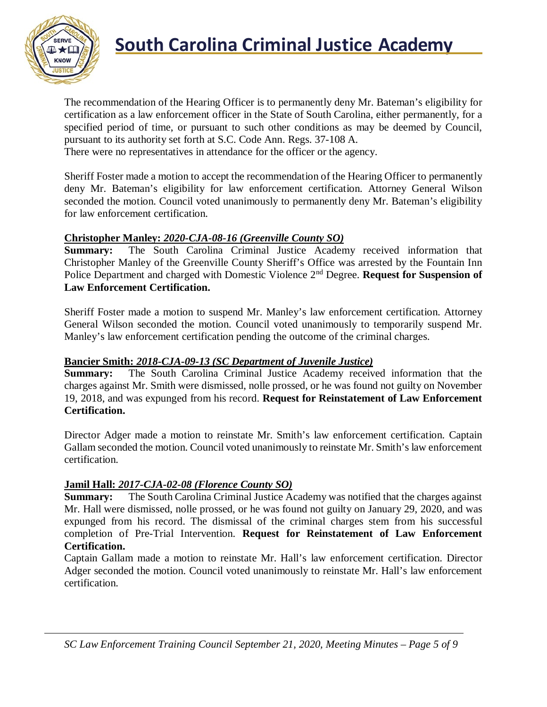

## **South Carolina Criminal Justice Academy**<br>KNOW

The recommendation of the Hearing Officer is to permanently deny Mr. Bateman's eligibility for certification as a law enforcement officer in the State of South Carolina, either permanently, for a specified period of time, or pursuant to such other conditions as may be deemed by Council, pursuant to its authority set forth at S.C. Code Ann. Regs. 37-108 A.

There were no representatives in attendance for the officer or the agency.

Sheriff Foster made a motion to accept the recommendation of the Hearing Officer to permanently deny Mr. Bateman's eligibility for law enforcement certification. Attorney General Wilson seconded the motion. Council voted unanimously to permanently deny Mr. Bateman's eligibility for law enforcement certification.

#### **Christopher Manley:** *2020-CJA-08-16 (Greenville County SO)*

**Summary:** The South Carolina Criminal Justice Academy received information that Christopher Manley of the Greenville County Sheriff's Office was arrested by the Fountain Inn Police Department and charged with Domestic Violence 2nd Degree. **Request for Suspension of Law Enforcement Certification.**

Sheriff Foster made a motion to suspend Mr. Manley's law enforcement certification. Attorney General Wilson seconded the motion. Council voted unanimously to temporarily suspend Mr. Manley's law enforcement certification pending the outcome of the criminal charges.

#### **Bancier Smith:** *2018-CJA-09-13 (SC Department of Juvenile Justice)*

**Summary:** The South Carolina Criminal Justice Academy received information that the charges against Mr. Smith were dismissed, nolle prossed, or he was found not guilty on November 19, 2018, and was expunged from his record. **Request for Reinstatement of Law Enforcement Certification.**

Director Adger made a motion to reinstate Mr. Smith's law enforcement certification. Captain Gallam seconded the motion. Council voted unanimously to reinstate Mr. Smith's law enforcement certification.

#### **Jamil Hall:** *2017-CJA-02-08 (Florence County SO)*

**Summary:** The South Carolina Criminal Justice Academy was notified that the charges against Mr. Hall were dismissed, nolle prossed, or he was found not guilty on January 29, 2020, and was expunged from his record. The dismissal of the criminal charges stem from his successful completion of Pre-Trial Intervention. **Request for Reinstatement of Law Enforcement Certification.**

Captain Gallam made a motion to reinstate Mr. Hall's law enforcement certification. Director Adger seconded the motion. Council voted unanimously to reinstate Mr. Hall's law enforcement certification.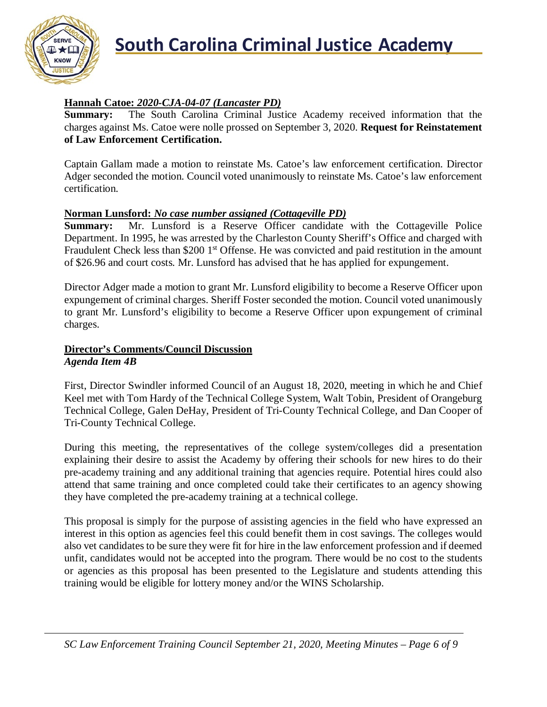

## **South Carolina Criminal Justice Academy**<br>KNOW

#### **Hannah Catoe:** *2020-CJA-04-07 (Lancaster PD)*

**Summary:** The South Carolina Criminal Justice Academy received information that the charges against Ms. Catoe were nolle prossed on September 3, 2020. **Request for Reinstatement of Law Enforcement Certification.**

Captain Gallam made a motion to reinstate Ms. Catoe's law enforcement certification. Director Adger seconded the motion. Council voted unanimously to reinstate Ms. Catoe's law enforcement certification.

#### **Norman Lunsford:** *No case number assigned (Cottageville PD)*

**Summary:** Mr. Lunsford is a Reserve Officer candidate with the Cottageville Police Department. In 1995, he was arrested by the Charleston County Sheriff's Office and charged with Fraudulent Check less than \$200 1<sup>st</sup> Offense. He was convicted and paid restitution in the amount of \$26.96 and court costs. Mr. Lunsford has advised that he has applied for expungement.

Director Adger made a motion to grant Mr. Lunsford eligibility to become a Reserve Officer upon expungement of criminal charges. Sheriff Foster seconded the motion. Council voted unanimously to grant Mr. Lunsford's eligibility to become a Reserve Officer upon expungement of criminal charges.

#### **Director's Comments/Council Discussion** *Agenda Item 4B*

First, Director Swindler informed Council of an August 18, 2020, meeting in which he and Chief Keel met with Tom Hardy of the Technical College System, Walt Tobin, President of Orangeburg Technical College, Galen DeHay, President of Tri-County Technical College, and Dan Cooper of Tri-County Technical College.

During this meeting, the representatives of the college system/colleges did a presentation explaining their desire to assist the Academy by offering their schools for new hires to do their pre-academy training and any additional training that agencies require. Potential hires could also attend that same training and once completed could take their certificates to an agency showing they have completed the pre-academy training at a technical college.

This proposal is simply for the purpose of assisting agencies in the field who have expressed an interest in this option as agencies feel this could benefit them in cost savings. The colleges would also vet candidates to be sure they were fit for hire in the law enforcement profession and if deemed unfit, candidates would not be accepted into the program. There would be no cost to the students or agencies as this proposal has been presented to the Legislature and students attending this training would be eligible for lottery money and/or the WINS Scholarship.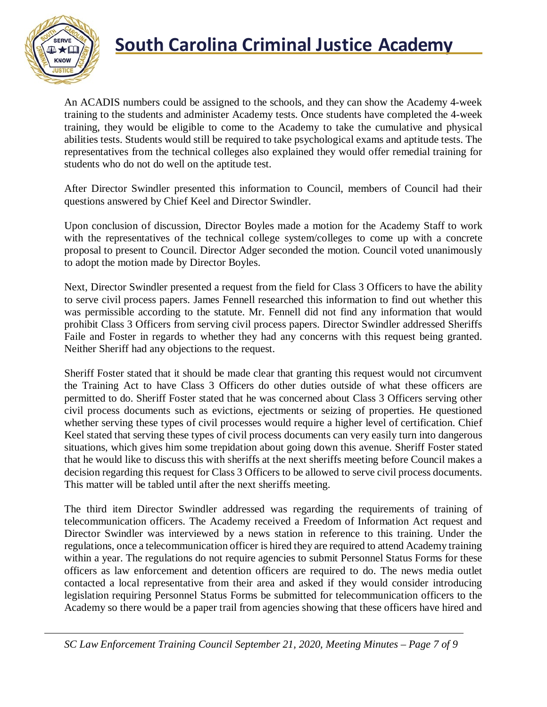

## **South Carolina Criminal Justice Academy**

An ACADIS numbers could be assigned to the schools, and they can show the Academy 4-week training to the students and administer Academy tests. Once students have completed the 4-week training, they would be eligible to come to the Academy to take the cumulative and physical abilities tests. Students would still be required to take psychological exams and aptitude tests. The representatives from the technical colleges also explained they would offer remedial training for students who do not do well on the aptitude test.

After Director Swindler presented this information to Council, members of Council had their questions answered by Chief Keel and Director Swindler.

Upon conclusion of discussion, Director Boyles made a motion for the Academy Staff to work with the representatives of the technical college system/colleges to come up with a concrete proposal to present to Council. Director Adger seconded the motion. Council voted unanimously to adopt the motion made by Director Boyles.

Next, Director Swindler presented a request from the field for Class 3 Officers to have the ability to serve civil process papers. James Fennell researched this information to find out whether this was permissible according to the statute. Mr. Fennell did not find any information that would prohibit Class 3 Officers from serving civil process papers. Director Swindler addressed Sheriffs Faile and Foster in regards to whether they had any concerns with this request being granted. Neither Sheriff had any objections to the request.

Sheriff Foster stated that it should be made clear that granting this request would not circumvent the Training Act to have Class 3 Officers do other duties outside of what these officers are permitted to do. Sheriff Foster stated that he was concerned about Class 3 Officers serving other civil process documents such as evictions, ejectments or seizing of properties. He questioned whether serving these types of civil processes would require a higher level of certification. Chief Keel stated that serving these types of civil process documents can very easily turn into dangerous situations, which gives him some trepidation about going down this avenue. Sheriff Foster stated that he would like to discuss this with sheriffs at the next sheriffs meeting before Council makes a decision regarding this request for Class 3 Officers to be allowed to serve civil process documents. This matter will be tabled until after the next sheriffs meeting.

The third item Director Swindler addressed was regarding the requirements of training of telecommunication officers. The Academy received a Freedom of Information Act request and Director Swindler was interviewed by a news station in reference to this training. Under the regulations, once a telecommunication officer is hired they are required to attend Academy training within a year. The regulations do not require agencies to submit Personnel Status Forms for these officers as law enforcement and detention officers are required to do. The news media outlet contacted a local representative from their area and asked if they would consider introducing legislation requiring Personnel Status Forms be submitted for telecommunication officers to the Academy so there would be a paper trail from agencies showing that these officers have hired and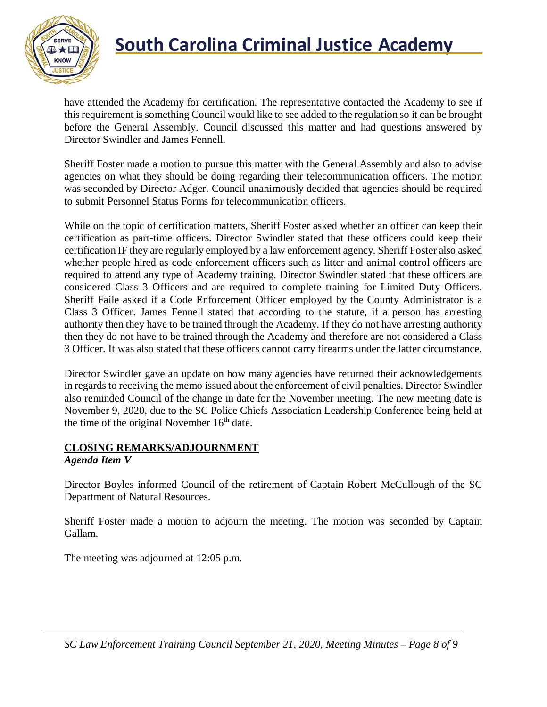

## **South Carolina Criminal Justice Academy**<br>KNOW

have attended the Academy for certification. The representative contacted the Academy to see if this requirement is something Council would like to see added to the regulation so it can be brought before the General Assembly. Council discussed this matter and had questions answered by Director Swindler and James Fennell.

Sheriff Foster made a motion to pursue this matter with the General Assembly and also to advise agencies on what they should be doing regarding their telecommunication officers. The motion was seconded by Director Adger. Council unanimously decided that agencies should be required to submit Personnel Status Forms for telecommunication officers.

While on the topic of certification matters, Sheriff Foster asked whether an officer can keep their certification as part-time officers. Director Swindler stated that these officers could keep their certification IF they are regularly employed by a law enforcement agency. Sheriff Foster also asked whether people hired as code enforcement officers such as litter and animal control officers are required to attend any type of Academy training. Director Swindler stated that these officers are considered Class 3 Officers and are required to complete training for Limited Duty Officers. Sheriff Faile asked if a Code Enforcement Officer employed by the County Administrator is a Class 3 Officer. James Fennell stated that according to the statute, if a person has arresting authority then they have to be trained through the Academy. If they do not have arresting authority then they do not have to be trained through the Academy and therefore are not considered a Class 3 Officer. It was also stated that these officers cannot carry firearms under the latter circumstance.

Director Swindler gave an update on how many agencies have returned their acknowledgements in regards to receiving the memo issued about the enforcement of civil penalties. Director Swindler also reminded Council of the change in date for the November meeting. The new meeting date is November 9, 2020, due to the SC Police Chiefs Association Leadership Conference being held at the time of the original November  $16<sup>th</sup>$  date.

#### **CLOSING REMARKS/ADJOURNMENT** *Agenda Item V*

Director Boyles informed Council of the retirement of Captain Robert McCullough of the SC Department of Natural Resources.

Sheriff Foster made a motion to adjourn the meeting. The motion was seconded by Captain Gallam.

The meeting was adjourned at 12:05 p.m.